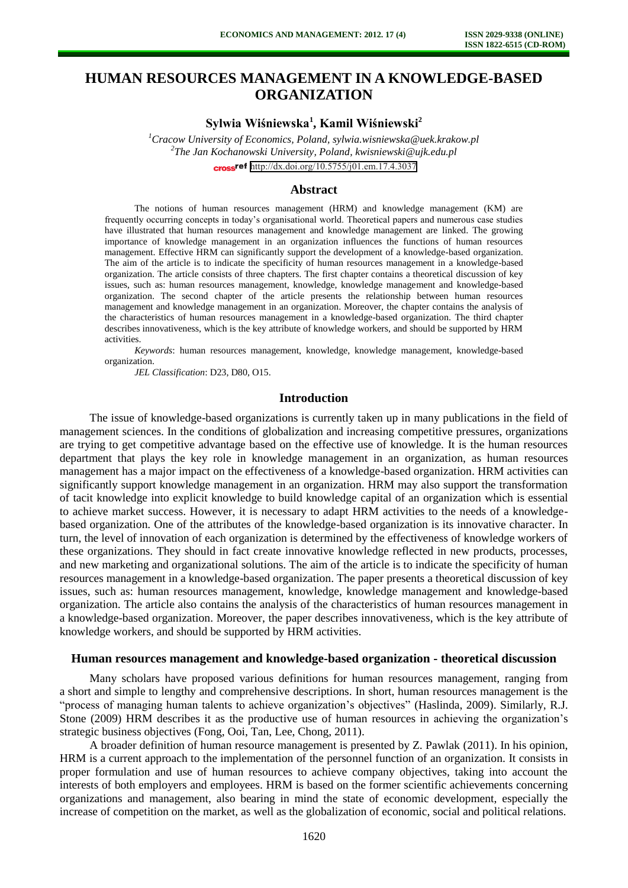# **HUMAN RESOURCES MANAGEMENT IN A KNOWLEDGE-BASED ORGANIZATION**

# **Sylwia Wiśniewska<sup>1</sup> , Kamil Wiśniewski<sup>2</sup>**

*<sup>1</sup>Cracow University of Economics, Poland, sylwia.wisniewska@uek.krakow.pl 2 The Jan Kochanowski University, Poland, kwisniewski@ujk.edu.pl*  cross<sup>ref</sup> <http://dx.doi.org/10.5755/j01.em.17.4.3037>

#### **Abstract**

The notions of human resources management (HRM) and knowledge management (KM) are frequently occurring concepts in today's organisational world. Theoretical papers and numerous case studies have illustrated that human resources management and knowledge management are linked. The growing importance of knowledge management in an organization influences the functions of human resources management. Effective HRM can significantly support the development of a knowledge-based organization. The aim of the article is to indicate the specificity of human resources management in a knowledge-based organization. The article consists of three chapters. The first chapter contains a theoretical discussion of key issues, such as: human resources management, knowledge, knowledge management and knowledge-based organization. The second chapter of the article presents the relationship between human resources management and knowledge management in an organization. Moreover, the chapter contains the analysis of the characteristics of human resources management in a knowledge-based organization. The third chapter describes innovativeness, which is the key attribute of knowledge workers, and should be supported by HRM activities.

*Keywords*: human resources management, knowledge, knowledge management, knowledge-based organization.

*JEL Classification*: D23, D80, O15.

#### **Introduction**

The issue of knowledge-based organizations is currently taken up in many publications in the field of management sciences. In the conditions of globalization and increasing competitive pressures, organizations are trying to get competitive advantage based on the effective use of knowledge. It is the human resources department that plays the key role in knowledge management in an organization, as human resources management has a major impact on the effectiveness of a knowledge-based organization. HRM activities can significantly support knowledge management in an organization. HRM may also support the transformation of tacit knowledge into explicit knowledge to build knowledge capital of an organization which is essential to achieve market success. However, it is necessary to adapt HRM activities to the needs of a knowledgebased organization. One of the attributes of the knowledge-based organization is its innovative character. In turn, the level of innovation of each organization is determined by the effectiveness of knowledge workers of these organizations. They should in fact create innovative knowledge reflected in new products, processes, and new marketing and organizational solutions. The aim of the article is to indicate the specificity of human resources management in a knowledge-based organization. The paper presents a theoretical discussion of key issues, such as: human resources management, knowledge, knowledge management and knowledge-based organization. The article also contains the analysis of the characteristics of human resources management in a knowledge-based organization. Moreover, the paper describes innovativeness, which is the key attribute of knowledge workers, and should be supported by HRM activities.

#### **Human resources management and knowledge-based organization - theoretical discussion**

Many scholars have proposed various definitions for human resources management, ranging from a short and simple to lengthy and comprehensive descriptions. In short, human resources management is the "process of managing human talents to achieve organization's objectives" (Haslinda, 2009). Similarly, R.J. Stone (2009) HRM describes it as the productive use of human resources in achieving the organization's strategic business objectives (Fong, Ooi, Tan, Lee, Chong, 2011).

A broader definition of human resource management is presented by Z. Pawlak (2011). In his opinion, HRM is a current approach to the implementation of the personnel function of an organization. It consists in proper formulation and use of human resources to achieve company objectives, taking into account the interests of both employers and employees. HRM is based on the former scientific achievements concerning organizations and management, also bearing in mind the state of economic development, especially the increase of competition on the market, as well as the globalization of economic, social and political relations.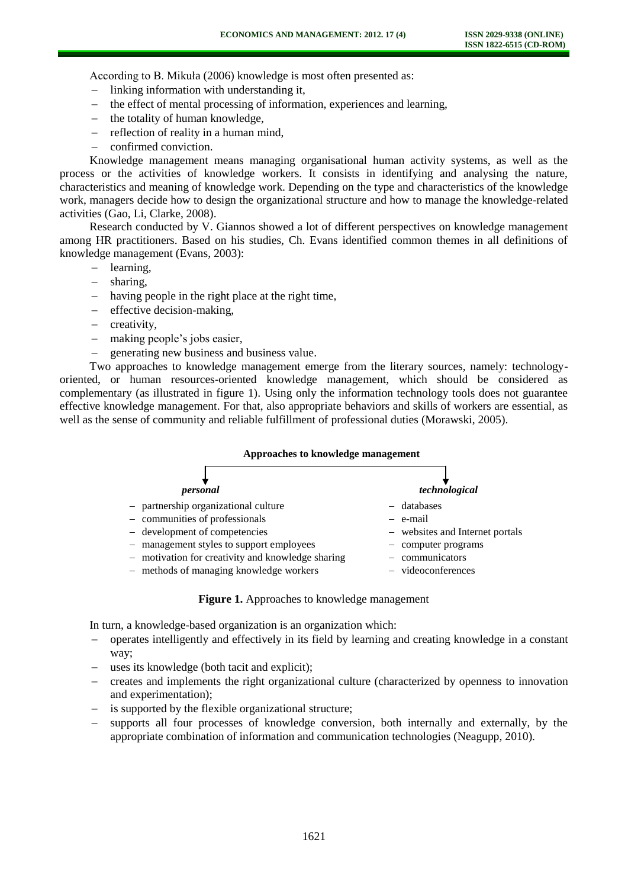According to B. Mikuła (2006) knowledge is most often presented as:

- $\blacksquare$  linking information with understanding it,
- the effect of mental processing of information, experiences and learning,
- the totality of human knowledge,
- reflection of reality in a human mind,
- confirmed conviction.

Knowledge management means managing organisational human activity systems, as well as the process or the activities of knowledge workers. It consists in identifying and analysing the nature, characteristics and meaning of knowledge work. Depending on the type and characteristics of the knowledge work, managers decide how to design the organizational structure and how to manage the knowledge-related activities (Gao, Li, Clarke, 2008).

Research conducted by V. Giannos showed a lot of different perspectives on knowledge management among HR practitioners. Based on his studies, Ch. Evans identified common themes in all definitions of knowledge management (Evans, 2003):

- learning,
- sharing,
- having people in the right place at the right time.
- effective decision-making,
- creativity,
- making people's jobs easier,
- generating new business and business value.

Two approaches to knowledge management emerge from the literary sources, namely: technologyoriented, or human resources-oriented knowledge management, which should be considered as complementary (as illustrated in figure 1). Using only the information technology tools does not guarantee effective knowledge management. For that, also appropriate behaviors and skills of workers are essential, as well as the sense of community and reliable fulfillment of professional duties (Morawski, 2005).

| Approaches to knowledge management                                                                                                                                                                                                                  |                                                                                                                          |
|-----------------------------------------------------------------------------------------------------------------------------------------------------------------------------------------------------------------------------------------------------|--------------------------------------------------------------------------------------------------------------------------|
| personal                                                                                                                                                                                                                                            | technological                                                                                                            |
| - partnership organizational culture<br>- communities of professionals<br>- development of competencies<br>- management styles to support employees<br>- motivation for creativity and knowledge sharing<br>- methods of managing knowledge workers | - databases<br>$-$ e-mail<br>- websites and Internet portals<br>- computer programs<br>communicators<br>videoconferences |



In turn, a knowledge-based organization is an organization which:

- operates intelligently and effectively in its field by learning and creating knowledge in a constant way;
- uses its knowledge (both tacit and explicit);
- creates and implements the right organizational culture (characterized by openness to innovation and experimentation);
- is supported by the flexible organizational structure;
- supports all four processes of knowledge conversion, both internally and externally, by the appropriate combination of information and communication technologies (Neagupp, 2010).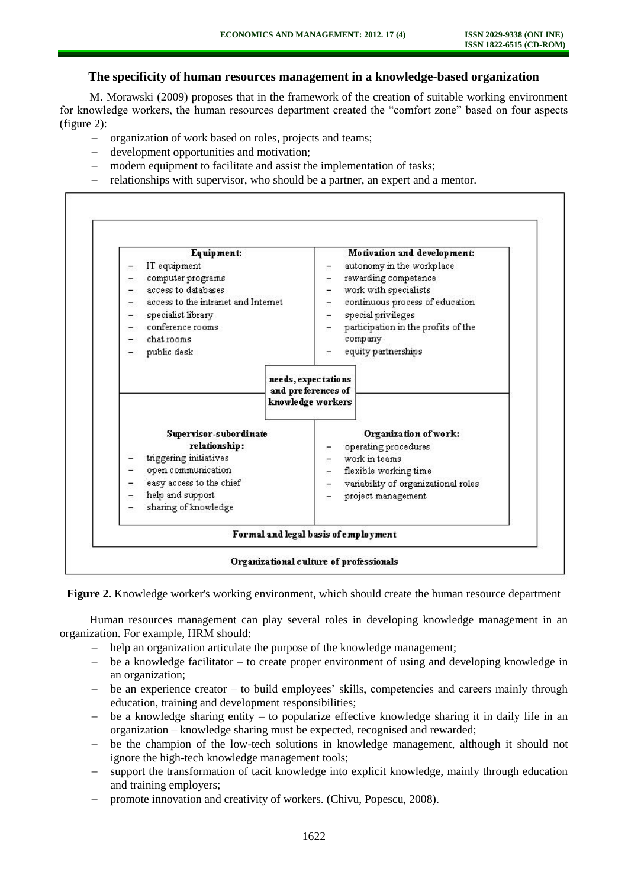## **The specificity of human resources management in a knowledge-based organization**

M. Morawski (2009) proposes that in the framework of the creation of suitable working environment for knowledge workers, the human resources department created the "comfort zone" based on four aspects (figure 2):

- organization of work based on roles, projects and teams;
- development opportunities and motivation;
- modern equipment to facilitate and assist the implementation of tasks;
- relationships with supervisor, who should be a partner, an expert and a mentor.



**Figure 2.** Knowledge worker's working environment, which should create the human resource department

Human resources management can play several roles in developing knowledge management in an organization. For example, HRM should:

- help an organization articulate the purpose of the knowledge management;
- be a knowledge facilitator to create proper environment of using and developing knowledge in an organization;
- be an experience creator to build employees' skills, competencies and careers mainly through education, training and development responsibilities;
- be a knowledge sharing entity to popularize effective knowledge sharing it in daily life in an organization – knowledge sharing must be expected, recognised and rewarded;
- be the champion of the low-tech solutions in knowledge management, although it should not ignore the high-tech knowledge management tools;
- support the transformation of tacit knowledge into explicit knowledge, mainly through education and training employers;
- promote innovation and creativity of workers. (Chivu, Popescu, 2008).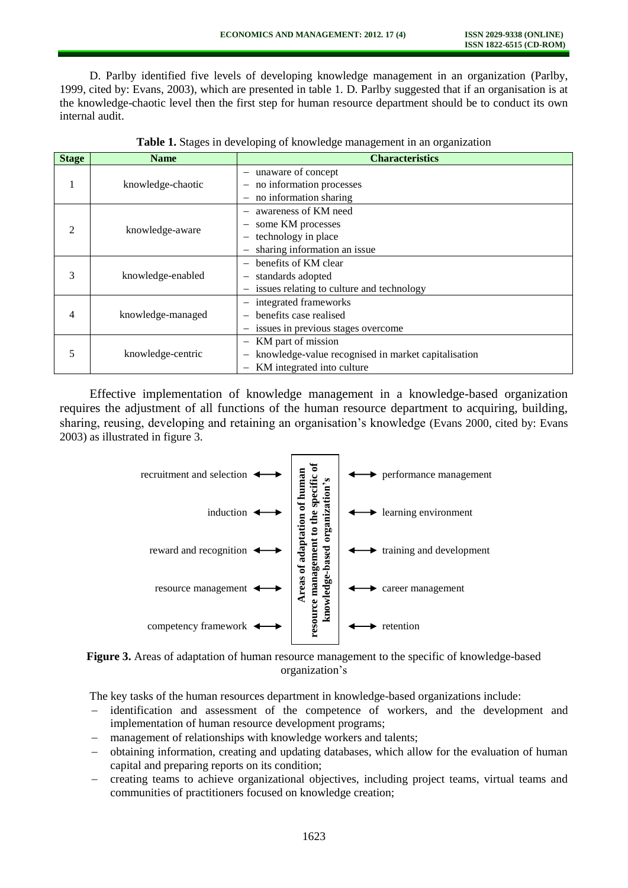D. Parlby identified five levels of developing knowledge management in an organization (Parlby, 1999, cited by: Evans, 2003), which are presented in table 1. D. Parlby suggested that if an organisation is at the knowledge-chaotic level then the first step for human resource department should be to conduct its own internal audit.

| <b>Stage</b>                | <b>Name</b>       | <b>Characteristics</b>                                                |  |  |  |  |
|-----------------------------|-------------------|-----------------------------------------------------------------------|--|--|--|--|
|                             |                   | unaware of concept<br>$\overline{\phantom{0}}$                        |  |  |  |  |
|                             | knowledge-chaotic | no information processes                                              |  |  |  |  |
|                             |                   | no information sharing<br>—                                           |  |  |  |  |
| $\mathcal{D}_{\mathcal{L}}$ |                   | awareness of KM need<br>$\overline{\phantom{0}}$                      |  |  |  |  |
|                             | knowledge-aware   | some KM processes<br>$\overline{\phantom{0}}$                         |  |  |  |  |
|                             |                   | technology in place<br>-                                              |  |  |  |  |
|                             |                   | sharing information an issue<br>-                                     |  |  |  |  |
| 3                           | knowledge-enabled | benefits of KM clear<br>$\overline{\phantom{0}}$                      |  |  |  |  |
|                             |                   | standards adopted<br>-                                                |  |  |  |  |
|                             |                   | issues relating to culture and technology<br>$\overline{\phantom{0}}$ |  |  |  |  |
| 4                           |                   | integrated frameworks<br>$\overline{\phantom{0}}$                     |  |  |  |  |
|                             | knowledge-managed | benefits case realised                                                |  |  |  |  |
|                             |                   | issues in previous stages overcome<br>-                               |  |  |  |  |
| 5                           |                   | KM part of mission<br>$\qquad \qquad -$                               |  |  |  |  |
|                             | knowledge-centric | knowledge-value recognised in market capitalisation                   |  |  |  |  |
|                             |                   | KM integrated into culture<br>-                                       |  |  |  |  |

|  |  |  |  | Table 1. Stages in developing of knowledge management in an organization |  |  |
|--|--|--|--|--------------------------------------------------------------------------|--|--|
|  |  |  |  |                                                                          |  |  |

Effective implementation of knowledge management in a knowledge-based organization requires the adjustment of all functions of the human resource department to acquiring, building, sharing, reusing, developing and retaining an organisation's knowledge (Evans 2000, cited by: Evans 2003) as illustrated in figure 3.





The key tasks of the human resources department in knowledge-based organizations include:

- identification and assessment of the competence of workers, and the development and implementation of human resource development programs;
- management of relationships with knowledge workers and talents;
- obtaining information, creating and updating databases, which allow for the evaluation of human capital and preparing reports on its condition;
- creating teams to achieve organizational objectives, including project teams, virtual teams and communities of practitioners focused on knowledge creation;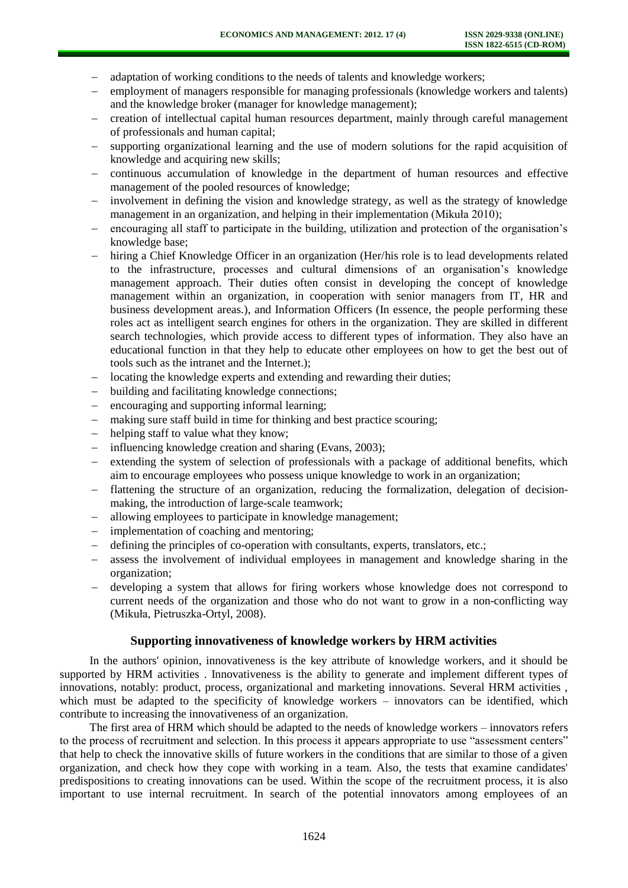- adaptation of working conditions to the needs of talents and knowledge workers;
- employment of managers responsible for managing professionals (knowledge workers and talents) and the knowledge broker (manager for knowledge management);
- creation of intellectual capital human resources department, mainly through careful management of professionals and human capital;
- supporting organizational learning and the use of modern solutions for the rapid acquisition of knowledge and acquiring new skills;
- continuous accumulation of knowledge in the department of human resources and effective management of the pooled resources of knowledge;
- involvement in defining the vision and knowledge strategy, as well as the strategy of knowledge management in an organization, and helping in their implementation (Mikuła 2010);
- encouraging all staff to participate in the building, utilization and protection of the organisation's knowledge base;
- hiring a Chief Knowledge Officer in an organization (Her/his role is to lead developments related to the infrastructure, processes and cultural dimensions of an organisation's knowledge management approach. Their duties often consist in developing the concept of knowledge management within an organization, in cooperation with senior managers from IT, HR and business development areas.), and Information Officers (In essence, the people performing these roles act as intelligent search engines for others in the organization. They are skilled in different search technologies, which provide access to different types of information. They also have an educational function in that they help to educate other employees on how to get the best out of tools such as the intranet and the Internet.);
- locating the knowledge experts and extending and rewarding their duties;
- building and facilitating knowledge connections;
- encouraging and supporting informal learning;
- making sure staff build in time for thinking and best practice scouring;
- helping staff to value what they know;
- influencing knowledge creation and sharing (Evans, 2003);
- extending the system of selection of professionals with a package of additional benefits, which aim to encourage employees who possess unique knowledge to work in an organization;
- flattening the structure of an organization, reducing the formalization, delegation of decisionmaking, the introduction of large-scale teamwork;
- allowing employees to participate in knowledge management;
- implementation of coaching and mentoring;
- defining the principles of co-operation with consultants, experts, translators, etc.;
- assess the involvement of individual employees in management and knowledge sharing in the organization;
- developing a system that allows for firing workers whose knowledge does not correspond to current needs of the organization and those who do not want to grow in a non-conflicting way (Mikuła, Pietruszka-Ortyl, 2008).

### **Supporting innovativeness of knowledge workers by HRM activities**

In the authors' opinion, innovativeness is the key attribute of knowledge workers, and it should be supported by HRM activities . Innovativeness is the ability to generate and implement different types of innovations, notably: product, process, organizational and marketing innovations. Several HRM activities , which must be adapted to the specificity of knowledge workers – innovators can be identified, which contribute to increasing the innovativeness of an organization.

The first area of HRM which should be adapted to the needs of knowledge workers – innovators refers to the process of recruitment and selection. In this process it appears appropriate to use "assessment centers" that help to check the innovative skills of future workers in the conditions that are similar to those of a given organization, and check how they cope with working in a team. Also, the tests that examine candidates' predispositions to creating innovations can be used. Within the scope of the recruitment process, it is also important to use internal recruitment. In search of the potential innovators among employees of an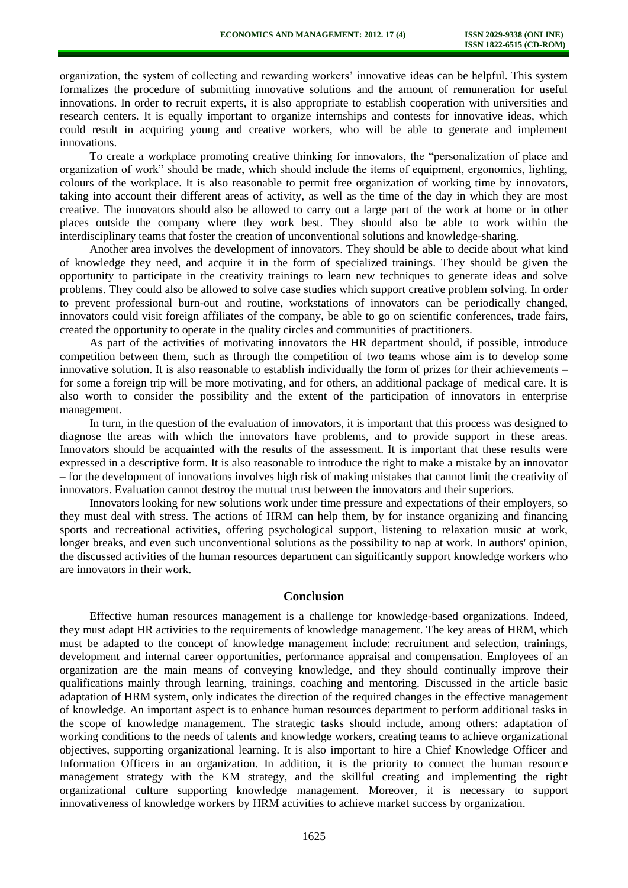organization, the system of collecting and rewarding workers' innovative ideas can be helpful. This system formalizes the procedure of submitting innovative solutions and the amount of remuneration for useful innovations. In order to recruit experts, it is also appropriate to establish cooperation with universities and research centers. It is equally important to organize internships and contests for innovative ideas, which could result in acquiring young and creative workers, who will be able to generate and implement innovations.

To create a workplace promoting creative thinking for innovators, the "personalization of place and organization of work" should be made, which should include the items of equipment, ergonomics, lighting, colours of the workplace. It is also reasonable to permit free organization of working time by innovators, taking into account their different areas of activity, as well as the time of the day in which they are most creative. The innovators should also be allowed to carry out a large part of the work at home or in other places outside the company where they work best. They should also be able to work within the interdisciplinary teams that foster the creation of unconventional solutions and knowledge-sharing.

Another area involves the development of innovators. They should be able to decide about what kind of knowledge they need, and acquire it in the form of specialized trainings. They should be given the opportunity to participate in the creativity trainings to learn new techniques to generate ideas and solve problems. They could also be allowed to solve case studies which support creative problem solving. In order to prevent professional burn-out and routine, workstations of innovators can be periodically changed, innovators could visit foreign affiliates of the company, be able to go on scientific conferences, trade fairs, created the opportunity to operate in the quality circles and communities of practitioners.

As part of the activities of motivating innovators the HR department should, if possible, introduce competition between them, such as through the competition of two teams whose aim is to develop some innovative solution. It is also reasonable to establish individually the form of prizes for their achievements – for some a foreign trip will be more motivating, and for others, an additional package of medical care. It is also worth to consider the possibility and the extent of the participation of innovators in enterprise management.

In turn, in the question of the evaluation of innovators, it is important that this process was designed to diagnose the areas with which the innovators have problems, and to provide support in these areas. Innovators should be acquainted with the results of the assessment. It is important that these results were expressed in a descriptive form. It is also reasonable to introduce the right to make a mistake by an innovator – for the development of innovations involves high risk of making mistakes that cannot limit the creativity of innovators. Evaluation cannot destroy the mutual trust between the innovators and their superiors.

Innovators looking for new solutions work under time pressure and expectations of their employers, so they must deal with stress. The actions of HRM can help them, by for instance organizing and financing sports and recreational activities, offering psychological support, listening to relaxation music at work, longer breaks, and even such unconventional solutions as the possibility to nap at work. In authors' opinion, the discussed activities of the human resources department can significantly support knowledge workers who are innovators in their work.

# **Conclusion**

Effective human resources management is a challenge for knowledge-based organizations. Indeed, they must adapt HR activities to the requirements of knowledge management. The key areas of HRM, which must be adapted to the concept of knowledge management include: recruitment and selection, trainings, development and internal career opportunities, performance appraisal and compensation. Employees of an organization are the main means of conveying knowledge, and they should continually improve their qualifications mainly through learning, trainings, coaching and mentoring. Discussed in the article basic adaptation of HRM system, only indicates the direction of the required changes in the effective management of knowledge. An important aspect is to enhance human resources department to perform additional tasks in the scope of knowledge management. The strategic tasks should include, among others: adaptation of working conditions to the needs of talents and knowledge workers, creating teams to achieve organizational objectives, supporting organizational learning. It is also important to hire a Chief Knowledge Officer and Information Officers in an organization. In addition, it is the priority to connect the human resource management strategy with the KM strategy, and the skillful creating and implementing the right organizational culture supporting knowledge management. Moreover, it is necessary to support innovativeness of knowledge workers by HRM activities to achieve market success by organization.